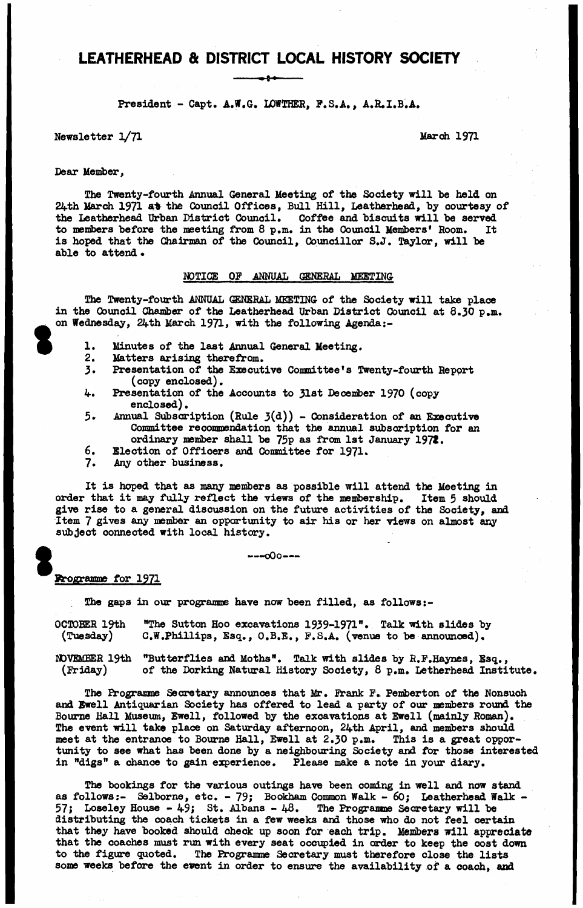# LEATHERHEAD & DISTRICT LOCAL HISTORY SOCIETY

**President - C&pt. A.W.G. LOWTHER, P.S.A,, A.R.I.B.A.**

**.. • .**

**Newsletter 1/71** March 1971

**Dear Member,**

**The Twenty-fourth Annual General Meeting of the Society will be held on 24th March 1971 the Council Offices, Bull Hill, Leatherhead, by courtesy of the Leatherhead Urban District Council. Coffee and biscuits will be served to members before the meeting from 8 p.m.. in the Council Members' Room. It is hoped that the Chairman of the Council, Councillor S.J. Taylor, will be able to attend.**

### **NOTICE OF ANNUAL GENERAL MEETING**

 $\sum_{n=1}^{\infty}$ **The Twenty-fourth ANNUAL GENERAL MEETING of the Society will take place in the Council Chamber of the Leatherhead Urban District Council at 8.30 p.a.** on Wednesday, 24th March 1971, with the following Agenda:-

- **1. Minutes of the last Annual General Meeting,**
- **2. Matters arising therefrom.**
- **3. Presentation of the Executive Committee's Twenty-fourth Repprt (copy enclosed).**
- **4. Presentation of the Accounts to 31st December 1970 (copy enclosed).**
- **5. Annual Subscription (Rule 3(d)) Consideration of an Executive Committee recommendation that the annual subscription for an** ordinary member shall be 75p as from 1st January 1972.
- **6. Election of Officers and Committee for 1971.**<br>7. Any other business.
- **7. Any other business.**

**It is hoped that as many members as possible will attend the Meeting in order that it may fully reflect the views of the membership. Item 5 should give rise to a general discussion on the future activities of the Society, and Item 7 gives any member an opportunity to air his or her views on almost any subject connected with local history.**

**— -0O0--**

# **i Programme for 1971**

**The gaps in our programme have now been filled, as follows**

**OCTOBER 19th "The Sutton Hoo excavations 1939-1971". Talk with slides by (Tuesday) C.W.Phillips, Esq., O.B.E., F.S.A. (venue to be announced).** C.W.Phillips, Esq., O.B.E., F.S.A. (venue to be announced).

**NOVEMBER 19th "Butterflies and Moths". Talk with slides by R.F.Haynes, Esq.., (Friday) of the Dorking Natural History Society, 8 p.m. Letherhead Institute.**

The Programme Secretary announces that Mr. Frank F. Pemberton of the Nonsuch and Ewell Antiquarian Society has offered to lead a party of our members round the **Bourne Hall Museum, Ewell, followed by the excavations at Ewell (mainly Roman). The event will take place on Saturday afternoon, 24th April, and members should** meet at the entrance to Bourne Hall, Ewell at 2.30 p.m. This is a great oppor**tunity to see what has been done by a neighbouring Society and for those interested** in "digs" a chance to gain experience.

**The bookings for the various outings have been coming in well and now stand as follows;- Selborne, etc. - 79; Bookham Common Walk - 60; Leatherhead Walk - 57; Loseley House - 49; St. Albans - 48. The Programme Secretary will be distributing the coach tickets in a few weeks and those who do not feel certain that they have booked should check up soon for each trip. Members will appreciate that the coaches must run with every seat occupied in order to keep the cost down to the figure quoted. The Programme Secretary must therefore close the lists some weeks before the event in order to ensure the availability of a coach, and**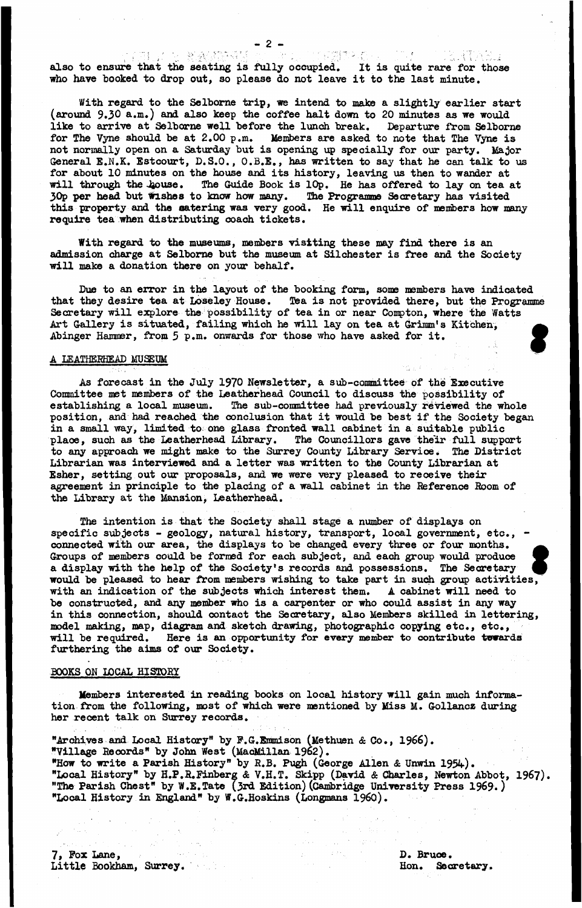计中间数据结构 (自認時を取り) **TERRASE also to ensure that the seating is fully occupied. It is quite rare for those who have hooked to drop out, so please do not leave it to the last minute.**

**With regard to the Selbome trip, we intend to make a slightly earlier start (around 9.30 a.m.) and also keep the coffee halt down to 20 minutes as we would like to arrive at Selborne well before the lunch break. Departure from Selborne for The Vyne should be at 2.00 p.m. Members are asked to note that The Vyne is not normally open on a Saturday but is opening up specially for our party. Major General E.N.K. Estcourt, D.S.O., O.B.E., has written to say that he can talk to us for about 10 minutes on the house and its history, leaving us then to wander at will through the Jaouse. The Guide Book is lOp. He has offered to lay on tea at 30p per head but Wishes to know how many. The Programme Secretary has visited this property and the aatering was very good. He will enquire of members how many require tea when distributing coach tickets.**

**With regard to the museums, members visiting these may find there is an admission charge at Selbome but the museum at Silchester is free and the Society will make a donation there on your behalf.**

**Due to an error in the layout of the booking form, some members have indicated that they desire tea at Loseley House. Tea is not provided there, but the Programme Secretary will explore the possibility of tea in or near Compton, where the Watts Art Gallery is situated, failing which he will lay on tea at Grimm's Kitchen, Abinger Hammer, from 5 p.m. onwards for those who have asked for it.**

### **A LEATHEKHEAD MUSEUM**

**As forecast in the July 1970 Newsletter, a sub-committee of the Executive Committee met members of the Leatherhead Council to discuss the possibility of establishing a local museum. The sub-committee had previously reviewed the whole position, and had reached the conclusion that it would be best if the Society began in a small way, limited to one glass fronted wall cabinet in a suitable public plaoe, such as the Leatherhead Library. The Councillors gave the'ir full support to any approach we might make to the Surrey County Library Servioe. The District Librarian was interviewed and a letter was written to the County Librarian at Esher, setting out our proposals, and we were very pleased to receive their agreement in principle to the placing of a wall cabinet in the Reference Boom of the Library at the Mansion, Leatherhead.**

**The intention is that the Society shall stage a number of displays on specific subjects - geology, natural history, transport, local government, etc., connected with our area, the displays to be changed every three or four months. Groups of members could be formed for each subject, and each group would produce a display with the help of the Society's records and possessions. The Secretary ^ would be pleased to hear from members wishing to take part in such group activities, with an indication of the subjects which interest them. A cabinet will need to be constructed, and any member who is a carpenter or who could assist in any way in this connection, should contact the Secretary, also Members skilled in lettering, model making, map, diagram and sketch drawing, photographic copying etc., etc.,** will be required. Here is an opportunity for every member to contribute towards **furthering the aims of our Society.**

### **BOOKS OK LOCAL HISTOBY**

**Members interested in reading books on local history will gain much information from the following, most of which were mentioned by Miss M. Gollancz during her recent talk on Surrey records.**

**"Archives and Local History" by F.G.Emmison (Methuen & Co., 1966). "Village Be cords" by John West (MacMillan 1962). "How to write a Parish History" by R.B. Pugh (George Allen** *&* **Unwin 1954) • "Local History" by H.P.fi.Pinberg** *&* **V.H.T. Skipp (David & Charles, Newton Abbot, 1967). "The Parish Chest" by W.E.Tate (3rd Edition) (Cambridge University Press 1969. ) "Local History in England" by W.G.Hoskins (Longmans I960).**

**7, Fox Lane, Little Bookham, Surrey.** **D. Bruoe. Hon. Secretary,**

 $-2-$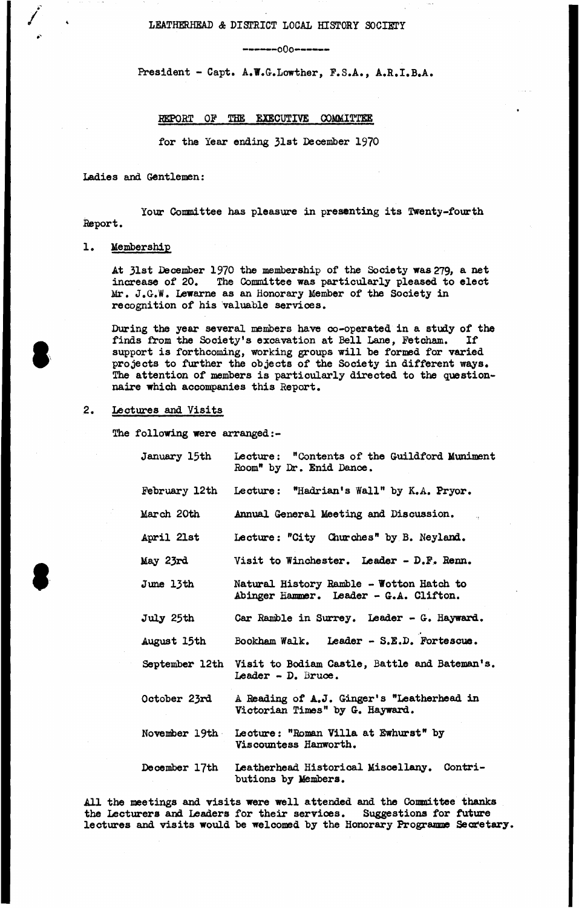**LEATHERHEAD** *&* **DISTRICT LOCAL HISTORY SOCIETY**

#### $------000------$

**President - Capt. A.W.G.Lowther, P.S.A., A.R.I.B.A.**

#### **REPORT OF THE EXECUTIVE COMMITTEE**

**for the Year ending 31st December 1970**

**Ladies and Gentlemen:**

**Your Committee has pleasure in presenting its Twenty-fourth Report.**

#### **1. Membership**

**At 31st December 1970 the membership of the Society was 279, a net increase of 20. The Committee was particularly pleased to elect Mr. J.G.W. Lewarne as an Honorary Member of the Society in recognition of his valuable services.**

During the year several members have co-operated in a study of the finds from the Society's excavation at Bell Lane. Fetcham. If finds from the Society's excavation at Bell Lane, Fetcham. **support is forthcoming, working groups will be formed for varied projects to further the objects of the Society in different ways. The attention of members is particularly directed to the questionnaire which accompanies this Report.**

### **2. Lectures and Visits**

**The following were arranged:-**

| January 15th     | Lecture: "Contents of the Guildford Muniment<br>Room" by Dr. Enid Dance.           |
|------------------|------------------------------------------------------------------------------------|
|                  | February 12th Lecture: "Hadrian's Wall" by K.A. Pryor.                             |
| March 20th       | Annual General Meeting and Discussion.                                             |
| April 21st       | Lecture: "City Churches" by B. Neyland.                                            |
| May 23rd         | Visit to Winchester. Leader - D.F. Renn.                                           |
| <b>June 13th</b> | Natural History Ramble - Wotton Hatch to<br>Abinger Hammer. Leader - G.A. Clifton. |
| July 25th        | Car Ramble in Surrey. Leader - G. Hayward.                                         |
| August 15th      | Bookham Walk. Leader - S.E.D. Fortescue.                                           |
| September 12th   | Visit to Bodiam Castle, Battle and Bateman's.<br>Leader - D. Bruce.                |
| October 23rd     | A Reading of A.J. Ginger's "Leatherhead in<br>Victorian Times" by G. Hayward.      |
|                  | November 19th Lecture: "Roman Villa at Ewhurst" by<br>Viscountess Hanworth.        |
| December 17th    | Leatherhead Historical Miscellany. Contri-<br>butions by Members.                  |

All the meetings and visits were well attended and the Committee thanks the Lecturers and Leaders for their services. Suggestions for future the Lecturers and Leaders for their services. **lectures and visits would be welcomed by the Honorary Programme Secretary.**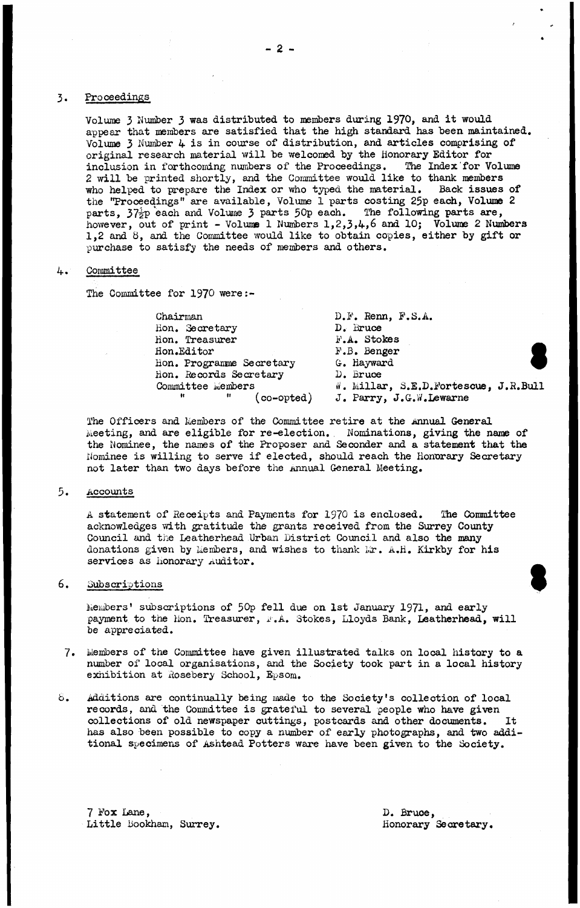#### $3.$ **Proceedings**

Volume 3 Number 3 was distributed to members during 1970, and it would appear that members are satisfied that the high standard has been maintained. Volume 3 Number 4 is in course of distribution, and articles comprising of original research material will be welcomed by the Honorary Editor for<br>inclusion in forthcoming numbers of the Proceedings. The Index for Volume inclusion in forthcoming numbers of the Proceedings. 2 will be printed shortly, and the Committee would like to thank members who helped to prepare the Index or who typed the material. Back issues of who helped to prepare the Index or who typed the material. the "Proceedings" are available, Volume 1 parts costing 25p each, Volume 2 parts,  $37\frac{1}{2}p$  each and Volume 3 parts 50p each. The following parts are, however, out of print - Volume 1 Numbers 1,2,3,4,6 and 10; Volume 2 Numbers 1,2 and 8, and the Committee would like to obtain copies, either by gift or purchase to satisfy the needs of members and others.

#### 4. Committee

The Committee for 1970 were:-

| Chairman                 | D.F. Renn, F.S.A.                    |  |  |  |  |  |
|--------------------------|--------------------------------------|--|--|--|--|--|
| Hon. Secretary           | D. Bruce                             |  |  |  |  |  |
| Hon. Treasurer           | F.A. Stokes                          |  |  |  |  |  |
| Hon.Editor               | F.B. Benger                          |  |  |  |  |  |
| Hon. Programme Secretary | G. Hayward                           |  |  |  |  |  |
| Hon. Records Secretary   | D. Bruce                             |  |  |  |  |  |
| Committee Members        | W. Millar, S.E.D.Fortescue, J.R.Bull |  |  |  |  |  |
| Ħ<br>(co-opted)<br>Ħ     | J. Parry, J.G.W. Lewarne             |  |  |  |  |  |

The Officers and Members of the Committee retire at the Annual General meeting, and are eligible for re-election. Nominations, giving the name of the Nominee, the names of the Proposer and Seconder and a statement that the Nominee is willing to serve if elected, should reach the Honorary Secretary not later than two days before the Annual General Meeting.

#### $5.$ Accounts

*A* statement of Receipts and Payments for 1970 is enclosed. The Committee acknowledges with gratitude the grants received from the Surrey County Council and the Leatherhead Urban District Council and also the many donations given by Members, and wishes to thank Mr. A.H. Kirkby for his services as honorary Auditor.

#### 6. Subscriptions

Members' subscriptions of 50p fell due on 1st January 1971, and early payment to the Hon. Treasurer, F.A. Stokes, Lloyds Bank, Leatherhead, will be appreciated.

- 7. Members of the Committee have given illustrated talks on local history to a number of local organisations, and the Society took part in a local history exhibition at Rosebery School, Epsom.
- $8.$ Additions are continually being made to the Society's collection of local records, and the Committee is grateful to several people who have given collections of old newspaper cuttings, postcards and other documents. It has also been possible to copy a number of early photographs, and two additional specimens of Ashtead Potters ware have been given to the Society.

7 Pox Lane, Little Bookham, Surrey. D. Bruce, Honorary Secretary.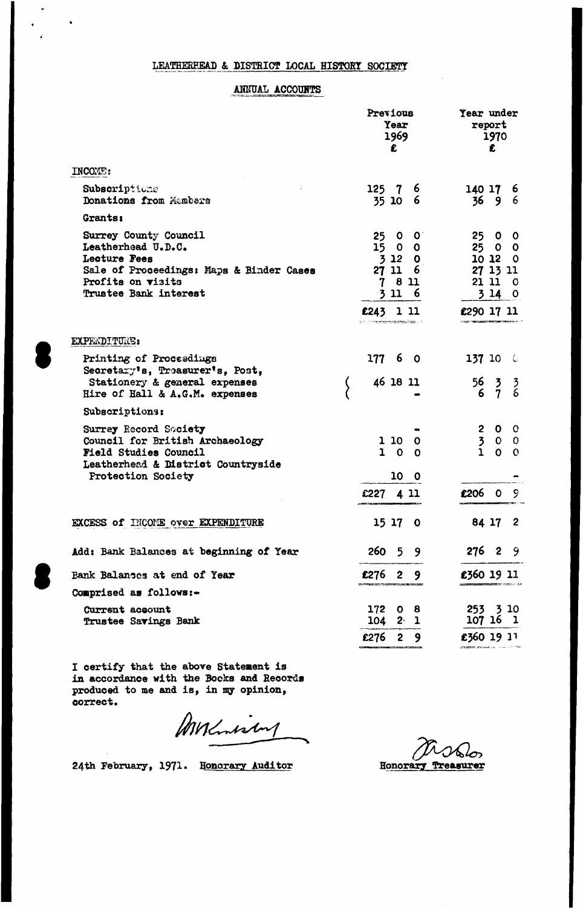## **LEATEEEEEAD & DISTRICT LOCAL HISTORY SOCIETY**

# **AlilTUAL ACCOUHTS**

|                                                                                                                                               |  | Previous<br><b>Year</b><br>1969                      | Year under<br>report<br>1970<br>£ |                                         |                      |                                                 |                              |
|-----------------------------------------------------------------------------------------------------------------------------------------------|--|------------------------------------------------------|-----------------------------------|-----------------------------------------|----------------------|-------------------------------------------------|------------------------------|
| INCOME:                                                                                                                                       |  |                                                      |                                   |                                         |                      |                                                 |                              |
| Subscriptions<br>Donations from Members                                                                                                       |  | 125, 7, 6                                            |                                   | 35 10 6                                 | 140 17               | $36^{9}$                                        | 6<br>-6                      |
| Grants:                                                                                                                                       |  |                                                      |                                   |                                         |                      |                                                 |                              |
| Surrey County Council<br>Leatherhead U.D.C.<br>Lecture Fees<br>Sale of Proceedings: Maps & Binder Cases<br>Profits on visits                  |  |                                                      |                                   | 25 O O<br>1500<br>3120<br>27116<br>7811 | 27 13 11             | 10120<br>2110                                   | 25 O O<br>25 0 0             |
| Trustee Bank interest                                                                                                                         |  |                                                      |                                   | 3116                                    |                      | 3140                                            |                              |
|                                                                                                                                               |  | £243 1 11<br>ter en handelskappen av den staden i de |                                   |                                         | £290 17 11           |                                                 |                              |
| EXPENDITURE:                                                                                                                                  |  |                                                      |                                   |                                         |                      |                                                 |                              |
| Printing of Proceedings<br>Secretary's, Treasurer's, Post,<br>Stationery & general expenses                                                   |  | 177                                                  |                                   | 6 O<br>46 18 11                         | 137 10 0             |                                                 |                              |
| Hire of Hall & A.G.M. expenses                                                                                                                |  |                                                      |                                   |                                         |                      | $\begin{array}{cc} 56 & 3 \\ 6 & 7 \end{array}$ | $\frac{3}{6}$                |
| Subscriptions:                                                                                                                                |  |                                                      |                                   |                                         |                      |                                                 |                              |
| Surrey Record Society<br>Council for British Archaeology<br>Field Studies Council<br>Leatherhead & District Countryside<br>Protection Society |  |                                                      | 10                                | 1100<br>100<br>O                        |                      | $\begin{matrix} 3 & 0 \\ 1 & 0 \end{matrix}$    | 200<br>$\bullet$<br>$\Omega$ |
|                                                                                                                                               |  | £227                                                 |                                   | 4 11                                    | £206                 | $\mathbf{o}$                                    | 9                            |
| EXCESS of INCOME over EXPENDITURE                                                                                                             |  |                                                      | 15 17                             | 0                                       |                      | 84 17                                           | - 2                          |
| Add: Bank Balances at beginning of Year                                                                                                       |  | 260 l                                                |                                   | $5 -$<br>9                              | 276 2 9              |                                                 |                              |
| Bank Balances at end of Year                                                                                                                  |  | £276                                                 | $\mathbf{2}$                      | 9                                       | £360 19 11           |                                                 |                              |
| Comprised as follows:-                                                                                                                        |  |                                                      |                                   |                                         |                      |                                                 |                              |
| Current account<br>Trustee Savings Bank                                                                                                       |  | 172<br>$104$ 2 1                                     |                                   | 0 <sub>8</sub>                          | 253 3 10<br>107 16 1 |                                                 |                              |
|                                                                                                                                               |  | £276 2                                               |                                   | 9                                       | £360 19 11           |                                                 |                              |

**I certify that the above Statement is in accordance with the Bocks and Records produced to me and is, in my opinion, correct.**

**I**

 $\bullet$ 

Amenting

**24th February, 1971\* Honorary Auditor Honorary Treasurer**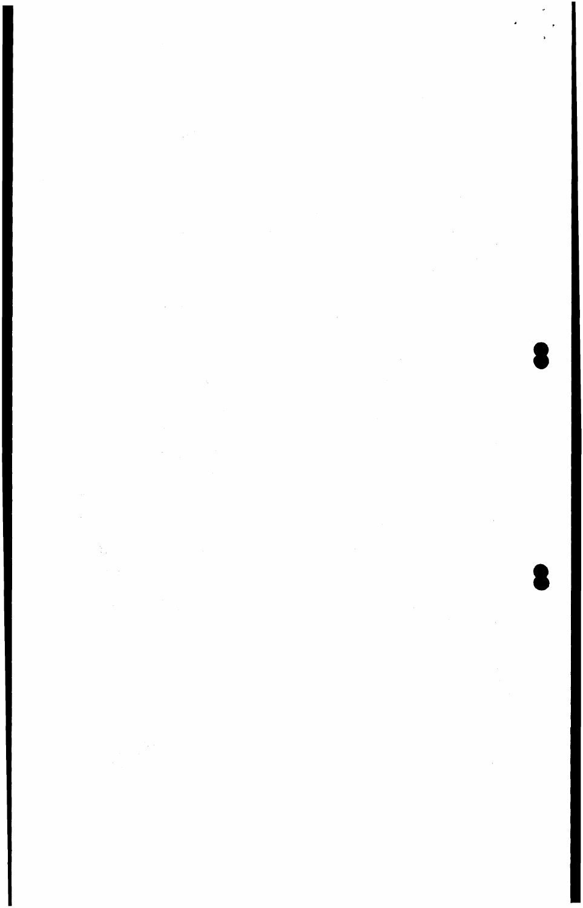$\label{eq:2.1} \mathcal{L}_{\mathcal{A}}(\mathcal{A}) = \mathcal{L}_{\mathcal{A}}(\mathcal{A}) \mathcal{L}_{\mathcal{A}}(\mathcal{A}) = \mathcal{L}_{\mathcal{A}}(\mathcal{A})$  $\label{eq:2.1} \frac{1}{\sqrt{2}}\int_{\mathbb{R}^3}\frac{1}{\sqrt{2}}\left(\frac{1}{\sqrt{2}}\right)^2\frac{1}{\sqrt{2}}\left(\frac{1}{\sqrt{2}}\right)^2\frac{1}{\sqrt{2}}\left(\frac{1}{\sqrt{2}}\right)^2\frac{1}{\sqrt{2}}\left(\frac{1}{\sqrt{2}}\right)^2.$ 

 $\label{eq:2.1} \frac{1}{2} \sum_{i=1}^n \frac{1}{2} \sum_{j=1}^n \frac{1}{2} \sum_{j=1}^n \frac{1}{2} \sum_{j=1}^n \frac{1}{2} \sum_{j=1}^n \frac{1}{2} \sum_{j=1}^n \frac{1}{2} \sum_{j=1}^n \frac{1}{2} \sum_{j=1}^n \frac{1}{2} \sum_{j=1}^n \frac{1}{2} \sum_{j=1}^n \frac{1}{2} \sum_{j=1}^n \frac{1}{2} \sum_{j=1}^n \frac{1}{2} \sum_{j=1}^n \frac{$  $\label{eq:1.1} \frac{N_{\rm{max}}}{N_{\rm{eff}}}\left(\frac{N_{\rm{max}}}{N_{\rm{eff}}}\right) = \frac{N_{\rm{max}}}{N_{\rm{eff}}}\left(\frac{N_{\rm{max}}}{N_{\rm{eff}}}\right)$ 

 $\mathcal{L}^{\text{max}}_{\text{max}}$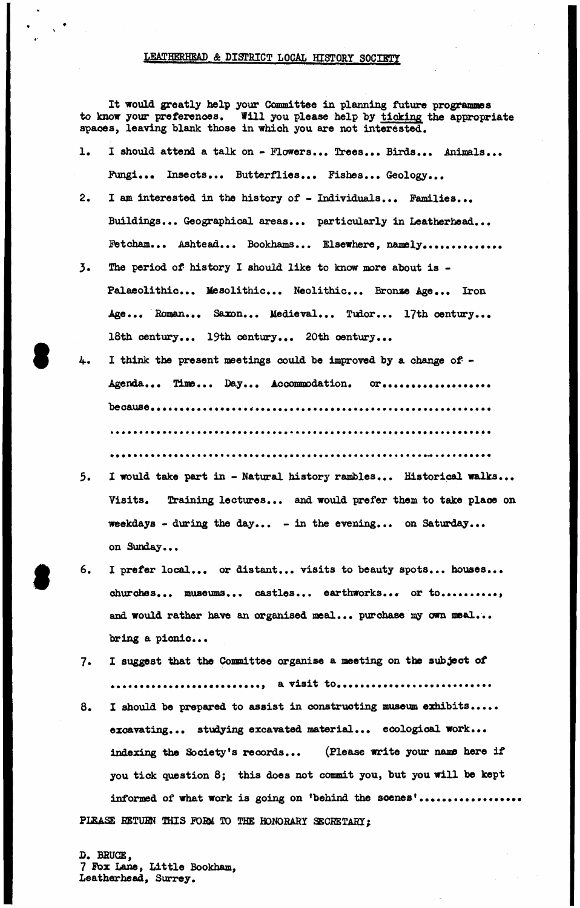### **LEATHBRHSAJ** *&* **DISTRICT LOCAL HISTORY SOCIETY**

**It would greatly help your Committee in planning future programmes to know your preferences, fill you please help by ticking the appropriate spaces, leaving blank those in which you are not interested.**

- **1. I should attend a talk on Flowers... Trees... Birds... Animals... Fungi... Insects... Butterflies... Fishes... Geology...**
- **2. I am interested in the history of Individuals... Families... Buildings... Geographical areas... particularly in Leatherbead... Fetcham... Ashtead... Bookhams... Elsewhere, namely...... .**
- **3\* The period of history I should like to know more about is - Palaeolithic... Mesolithic... Neolithic... Bronze Age... Iron Age... Roman... Saxon... Medieval... Tudor... 17th century...** 18th century... 19th century... 20th century...
- I think the present meetings could be improved by a change of -**Agenda... Time... Day... Accommodation. or................... because......................................................**
- **5. I would take part in Natural history rambles... Historical walks... Visits. Training lectures... and would prefer them to take place on weekdays - during the day... - in the evening... on Saturday... on Sunday...**
- **6. I prefer local... or distant... visits to beauty spots... houses... churches... museums... castles... earthworks... or to........., and would rather have an organised meal... purchase my own meal... bring a picnic...**
- **7. I suggest that the Committee organise a meeting on the subject of ........... ........... . a visit to................ .......**
- **8. I should be prepared to assist in constructing museum exhibits..... excavating... studying excavated material... ecological work... indexing the Society's re cords... (Please write your name here if you tick question 8; this does not commit you, but you will be kept informed of what work is going on 'behind the scenes'....... . PLEASE RETURN THIS FORK TO THE HONORARY SECRETARY;**

**D. BRUCE, 7 Fox Lane, Little Bookham, Leatherhead, Surrey.**